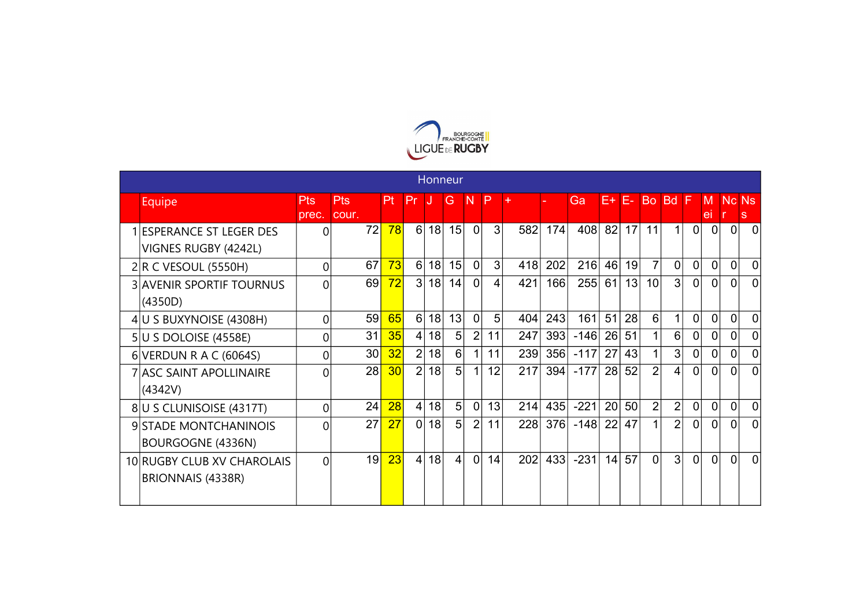

|                                                  |              |              |    |                |    | Honneur        |                |          |     |     |        |    |    |                |                |                |                |              |                |
|--------------------------------------------------|--------------|--------------|----|----------------|----|----------------|----------------|----------|-----|-----|--------|----|----|----------------|----------------|----------------|----------------|--------------|----------------|
| <b>Equipe</b>                                    | Pts<br>prec. | Pts<br>cour. | Pt | Pr             |    | G              | $\mathsf{N}$   | <b>P</b> | $+$ |     | Ga     | F+ | 今  | <b>Bo</b>      | <b>Bd</b>      | IF             | M<br>ei        | Nc Ns        | s              |
| 1 ESPERANCE ST LEGER DES<br>VIGNES RUGBY (4242L) | 0            | 72           | 78 | 6              | 18 | 15             | $\overline{0}$ | 3        | 582 | 174 | 408    | 82 | 17 | 11             | 1              | $\Omega$       | 0              | $\Omega$     | 0              |
| $2 R$ C VESOUL (5550H)                           | 0            | 67           | 73 | 6              | 18 | 15             | 0              | 3        | 418 | 202 | 216    | 46 | 19 | 7              | $\overline{0}$ | $\overline{0}$ | $\Omega$       | 0            | $\Omega$       |
| <b>3 AVENIR SPORTIF TOURNUS</b><br>(4350D)       | 0            | 69           | 72 | $\overline{3}$ | 18 | 14             | 0              | 4        | 421 | 166 | 255    | 61 | 13 | 10             | 3              | $\overline{0}$ | $\Omega$       | $\Omega$     | $\Omega$       |
| 4 U S BUXYNOISE (4308H)                          | 0            | 59           | 65 | 6              | 18 | 13             | $\overline{0}$ | 5        | 404 | 243 | 161    | 51 | 28 | 6              | 1              | $\overline{0}$ | $\Omega$       | $\mathbf{0}$ | $\overline{0}$ |
| 5 U S DOLOISE (4558E)                            | 0            | 31           | 35 | 4              | 18 | 5              | $\overline{2}$ | 11       | 247 | 393 | $-146$ | 26 | 51 |                | 6              | $\overline{0}$ | $\Omega$       | $\Omega$     | $\Omega$       |
| 6 VERDUN R A C (6064S)                           | 0            | 30           | 32 | $\overline{2}$ | 18 | 6              | 1              | 11       | 239 | 356 | $-117$ | 27 | 43 | 1              | 3              | $\overline{0}$ | $\Omega$       | $\Omega$     | $\overline{0}$ |
| 7 ASC SAINT APOLLINAIRE<br>(4342V)               | 0            | 28           | 30 | $\overline{2}$ | 18 | 5              | 1              | 12       | 217 | 394 | $-177$ | 28 | 52 | $\overline{2}$ | 4              | $\Omega$       | $\Omega$       | $\Omega$     | $\Omega$       |
| 8 U S CLUNISOISE (4317T)                         | 0            | 24           | 28 | $\overline{4}$ | 18 | 5              | $\overline{0}$ | 13       | 214 | 435 | $-221$ | 20 | 50 | $\overline{2}$ | $\overline{2}$ | $\overline{0}$ | $\overline{0}$ | 0            | $\overline{0}$ |
| 9 STADE MONTCHANINOIS<br>BOURGOGNE (4336N)       | 0            | 27           | 27 | $\overline{0}$ | 18 | 5              | $\overline{2}$ | 11       | 228 | 376 | $-148$ | 22 | 47 | 1              | $\overline{2}$ | $\Omega$       | $\Omega$       | $\Omega$     | $\Omega$       |
| 10 RUGBY CLUB XV CHAROLAIS<br>BRIONNAIS (4338R)  | 0            | 19           | 23 | $\vert$        | 18 | $\overline{4}$ | $\overline{0}$ | 14       | 202 | 433 | $-231$ | 14 | 57 | 0              | 3              | $\Omega$       | $\Omega$       | $\Omega$     | $\Omega$       |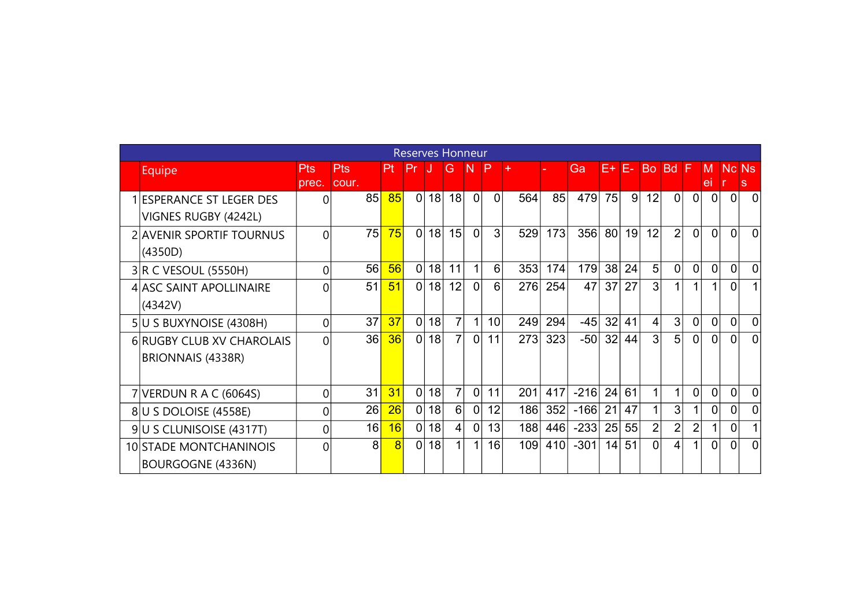|                                  |       |       |                | <b>Reserves Honneur</b> |    |                 |                |                 |     |     |        |                 |    |                 |                |                |                 |                |                |
|----------------------------------|-------|-------|----------------|-------------------------|----|-----------------|----------------|-----------------|-----|-----|--------|-----------------|----|-----------------|----------------|----------------|-----------------|----------------|----------------|
| Equipe                           | Pts   | Pts   | ₽t⊹            | ∣Pr                     | IJ | <b>G</b>        | -N             | - P             | ÷   |     | Gа     | E+              | ♦  | <b>Bo</b>       | <b>Bd</b>      | -F             | M               | Nc Ns          |                |
|                                  | prec. | cour. |                |                         |    |                 |                |                 |     |     |        |                 |    |                 |                |                | ei              |                | s              |
| <b>IESPERANCE ST LEGER DES</b>   | 0     | 85    | 85             | 0                       | 18 | 18 <sup>1</sup> | 0              | 0               | 564 | 85  | 479    | <b>75</b>       | 9  | 12              | $\overline{0}$ | 0              | $\vert 0 \vert$ | $\overline{0}$ | $\Omega$       |
| VIGNES RUGBY (4242L)             |       |       |                |                         |    |                 |                |                 |     |     |        |                 |    |                 |                |                |                 |                |                |
| <b>2 AVENIR SPORTIF TOURNUS</b>  | 0     | 75    | 75             | $\Omega$                | 18 | 15              | $\Omega$       | 3 <sup>1</sup>  | 529 | 173 | 356    | 80 <sup>1</sup> | 19 | 12              | $\overline{2}$ | $\Omega$       | $\Omega$        | $\Omega$       | $\Omega$       |
| (4350D)                          |       |       |                |                         |    |                 |                |                 |     |     |        |                 |    |                 |                |                |                 |                |                |
| $3 R$ C VESOUL (5550H)           | 0     | 56    | 56             | 0                       | 18 | 11              | 1              | 6               | 353 | 174 | 179    | 38 <sup>1</sup> | 24 | 5               | $\overline{0}$ | $\Omega$       | $\overline{0}$  | $\Omega$       | $\Omega$       |
| 4 ASC SAINT APOLLINAIRE          | 0     | 51    | 51             | 0                       | 18 | 12              | $\overline{0}$ | 6 <sup>1</sup>  | 276 | 254 | 47     | 37 <sup>1</sup> | 27 | 3 <sub>1</sub>  |                | 1              | 1               | 0              |                |
| (4342V)                          |       |       |                |                         |    |                 |                |                 |     |     |        |                 |    |                 |                |                |                 |                |                |
| 5U S BUXYNOISE (4308H)           | 0     | 37    | 37             | $\overline{0}$          | 18 | $\overline{7}$  | 1              | 10 <sup>1</sup> | 249 | 294 | $-45$  | 32 <sub>1</sub> | 41 | $\vert 4 \vert$ | 3              | $\overline{0}$ | $\Omega$        | $\Omega$       | $\Omega$       |
| <b>6 RUGBY CLUB XV CHAROLAIS</b> | 0     | 36    | 36             | 0                       | 18 | 7               | $\overline{0}$ | 11              | 273 | 323 | $-50$  | 32 <sub>1</sub> | 44 | 3               | 5              | $\mathbf{0}$   | $\Omega$        | $\Omega$       | $\Omega$       |
| BRIONNAIS (4338R)                |       |       |                |                         |    |                 |                |                 |     |     |        |                 |    |                 |                |                |                 |                |                |
|                                  |       |       |                |                         |    |                 |                |                 |     |     |        |                 |    |                 |                |                |                 |                |                |
| 7 VERDUN R A C (6064S)           | 0     | 31    | 31             | $\overline{0}$          | 18 | $\overline{7}$  | $\overline{0}$ | 11              | 201 | 417 | $-216$ | 24              | 61 |                 |                | $\overline{0}$ | $\overline{0}$  | $\Omega$       | $\overline{0}$ |
| 8 U S DOLOISE (4558E)            | 0     | 26    | 26             | 0                       | 18 | 6               | 0              | 12              | 186 | 352 | $-166$ | 21              | 47 |                 | 3              |                | $\overline{0}$  | 0              | $\Omega$       |
| 9U S CLUNISOISE (4317T)          | 0     | 16    | 16             | 0                       | 18 | $\vert 4 \vert$ | 0              | 13              | 188 | 446 | $-233$ | 25              | 55 | 2 <sub>1</sub>  | $\overline{2}$ | $\overline{2}$ |                 | 0              |                |
| <b>10 STADE MONTCHANINOIS</b>    | 0     | 8     | $\overline{8}$ | 0                       | 18 | 1               | 1              | 16              | 109 | 410 | $-301$ | 4               | 51 | $\Omega$        | 4              | 1              | 0               | <sup>0</sup>   | $\Omega$       |
| BOURGOGNE (4336N)                |       |       |                |                         |    |                 |                |                 |     |     |        |                 |    |                 |                |                |                 |                |                |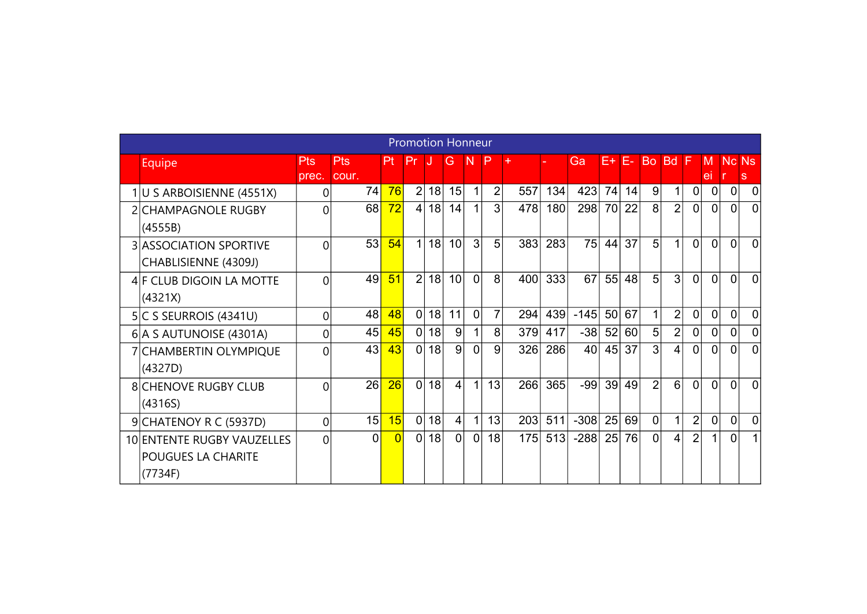|                                                             |                |                   |                | <b>Promotion Honneur</b> |    |                |                |                |     |     |        |    |                 |                |                |                |                |              |             |
|-------------------------------------------------------------|----------------|-------------------|----------------|--------------------------|----|----------------|----------------|----------------|-----|-----|--------|----|-----------------|----------------|----------------|----------------|----------------|--------------|-------------|
| Equipe                                                      | Pts<br>prec.   | Pts<br>cour.      | Pt             | Pr                       | IJ | G.             | -N             | $\mathsf{P}$   | $+$ |     | Ga     | E+ | IE-             | <b>Bo</b>      | Bd F           |                | M<br>el        | <b>Nc Ns</b> | s           |
| 1 U S ARBOISIENNE (4551X)                                   | 0              | 74 <mark> </mark> | 76             | $\overline{2}$           | 18 | 15             | 1              | $\overline{2}$ | 557 | 134 | 423    | 74 | 14              | 9              |                | $\overline{0}$ | 0              | $\mathbf 0$  | $\Omega$    |
| 2 CHAMPAGNOLE RUGBY<br>(4555B)                              | $\Omega$       | 68                | 72             | $\vert 4 \vert$          | 18 | 14             | $\mathbf 1$    | 3 <sup>1</sup> | 478 | 180 | 298    | 70 | 22              | 8 <sup>°</sup> | $\overline{2}$ | $\overline{0}$ | 0              | $\Omega$     | $\mathbf 0$ |
| <b>3 ASSOCIATION SPORTIVE</b><br>CHABLISIENNE (4309J)       | $\Omega$       | 53                | 54             | 1                        | 18 | 10             | 3              | 5              | 383 | 283 | 75     | 44 | 37              | 5              | 1              | $\Omega$       | $\Omega$       | $\Omega$     | $\Omega$    |
| 4 F CLUB DIGOIN LA MOTTE<br>(4321X)                         | 0              | 49                | 51             | $\overline{2}$           | 18 | 10             | $\Omega$       | 8              | 400 | 333 | 67     | 55 | 48              | 5              | 3              | $\Omega$       | $\Omega$       | $\Omega$     | $\Omega$    |
| $5 C$ S SEURROIS (4341U)                                    | $\Omega$       | 48                | 48             | 0                        | 18 | 11             | 0              | $\overline{7}$ | 294 | 439 | $-145$ | 50 | 67              | 1              | $\overline{2}$ | $\overline{0}$ | 0              | 0            | $\Omega$    |
| 6 A S AUTUNOISE (4301A)                                     | $\overline{0}$ | 45                | 45             | 0                        | 18 | 9              | 1              | 8              | 379 | 417 | $-38$  | 52 | 60 <sup>1</sup> | 5 <sup>1</sup> | $\overline{2}$ | $\overline{0}$ | $\mathbf 0$    | $\Omega$     | $\Omega$    |
| 7 CHAMBERTIN OLYMPIQUE<br>(4327D)                           | 0              | 43                | 43             | 0                        | 18 | 9              | $\overline{0}$ | 9              | 326 | 286 | 40     | 45 | 37              | 3              | 4              | $\overline{0}$ | 0              | $\mathbf{0}$ | $\Omega$    |
| <b>8 CHENOVE RUGBY CLUB</b><br>(4316S)                      | $\Omega$       | 26                | 26             | 0                        | 18 | $\vert$        | 1              | 13             | 266 | 365 | $-99$  | 39 | 49              | $\overline{2}$ | 6              | $\Omega$       | $\overline{0}$ | $\Omega$     | $\Omega$    |
| 9 CHATENOY R C (5937D)                                      | $\overline{0}$ | 15                | 15             | 0                        | 18 | $\vert$        | 1              | 13             | 203 | 511 | $-308$ | 25 | 69              | $\mathbf 0$    | 1              | $\overline{2}$ | $\Omega$       | $\Omega$     | $\Omega$    |
| 10 ENTENTE RUGBY VAUZELLES<br>POUGUES LA CHARITE<br>(7734F) | $\Omega$       | $\Omega$          | $\overline{0}$ | 0                        | 18 | $\overline{0}$ | 0              | 18             | 175 | 513 | $-288$ | 25 | 76              | 0              | 4              | $\overline{2}$ | 1              | $\Omega$     |             |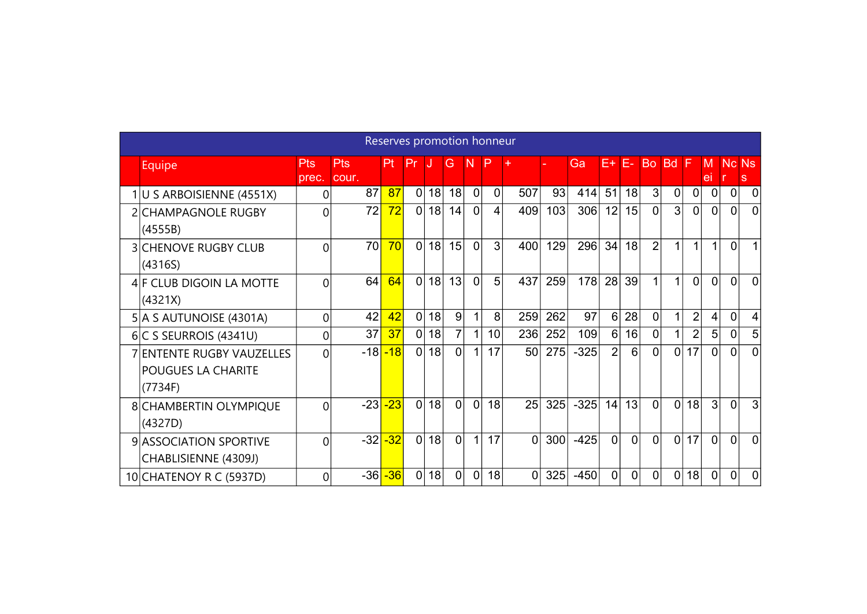|                                                                   |                     |              | Reserves promotion honneur |                |    |                |                |                 |                |     |        |                |                |                |                |                |                     |                |                |
|-------------------------------------------------------------------|---------------------|--------------|----------------------------|----------------|----|----------------|----------------|-----------------|----------------|-----|--------|----------------|----------------|----------------|----------------|----------------|---------------------|----------------|----------------|
| Equipe                                                            | <b>Pts</b><br>prec. | Pts<br>cour. | <b>Pt</b>                  | Pr             |    | G              | -N             | P               |                |     | Ga     | E+             | IF-            | <b>Bo</b>      | <b>Bd</b>      |                | M<br>e <sub>l</sub> | <b>Nc Ns</b>   | s              |
| 1 U S ARBOISIENNE (4551X)                                         | 0                   | 87           | 87                         | 0              | 18 | 18             | $\overline{0}$ | $\overline{0}$  | 507            | 93  | 414    | 51             | 18             | 3              | 0              | 0              | $\mathbf 0$         | $\Omega$       | 0              |
| 2 CHAMPAGNOLE RUGBY<br>(4555B)                                    | 0                   | 72           | 72                         | 0              | 18 | 14             | $\mathbf{0}$   | $\overline{4}$  | 409            | 103 | 306    | 12             | 15             | $\overline{0}$ | 3              | $\overline{0}$ | $\vert 0 \vert$     | $\overline{0}$ | $\Omega$       |
| <b>3 CHENOVE RUGBY CLUB</b><br>(4316S)                            | $\Omega$            | 70           | 70                         | 0              | 18 | 15             | $\overline{0}$ | $\overline{3}$  | 400            | 129 | 296    | 34             | 18             | $\overline{2}$ |                | 1              | $\mathbf{1}$        | 0              |                |
| 4 F CLUB DIGOIN LA MOTTE<br>(4321X)                               | 0                   | 64           | 64                         | 0              | 18 | 13             | $\Omega$       | 5               | 437            | 259 | 178    | 28             | 39             |                |                | $\Omega$       | $\Omega$            | $\Omega$       | $\Omega$       |
| 5 A S AUTUNOISE (4301A)                                           | 0                   | 42           | 42                         | $\overline{0}$ | 18 | 9              | 1              | 8               | 259            | 262 | 97     | 6              | 28             | 0              |                | $\overline{2}$ | 4                   | $\Omega$       | 4              |
| $6 C$ S SEURROIS (4341U)                                          | 0                   | 37           | 37                         | 0              | 18 | 7              | 1              | 10 <sup>1</sup> | 236            | 252 | 109    | 6 <sup>1</sup> | 16             | 0              |                | $\overline{2}$ | 5                   | 0              | 5              |
| 7 ENTENTE RUGBY VAUZELLES<br><b>POUGUES LA CHARITE</b><br>(7734F) | 0                   | $-18$        | $-18$                      | 0              | 18 | 0              | 1              | 17              | 50             | 275 | $-325$ | $\overline{2}$ | 6              | 0              | $\overline{0}$ | 17             | $\Omega$            | $\Omega$       | $\Omega$       |
| 8 CHAMBERTIN OLYMPIQUE<br>(4327D)                                 | 0                   | $-23$        | $-23$                      | 0              | 18 | $\overline{0}$ | 0              | 18              | 25             | 325 | $-325$ | 14             | 13             | $\Omega$       | $\Omega$       | 18             | $\lvert 3 \rvert$   | $\Omega$       | 3              |
| 9 ASSOCIATION SPORTIVE<br>CHABLISIENNE (4309J)                    | 0                   | $-32$        | $-32$                      | 0              | 18 | $\overline{0}$ | $\mathbf{1}$   | 17              | $\overline{0}$ | 300 | $-425$ | $\overline{0}$ | $\overline{0}$ | $\Omega$       | $\overline{0}$ | 17             | $\Omega$            | $\Omega$       | $\Omega$       |
| 10 CHATENOY R C (5937D)                                           | 0                   | $-36$        | $-36$                      | 0              | 18 | $\Omega$       | $\overline{0}$ | 18              | $\overline{0}$ | 325 | $-450$ | 0              | $\overline{0}$ | $\Omega$       | $\overline{0}$ | 18             | $\mathbf{0}$        | $\Omega$       | $\overline{0}$ |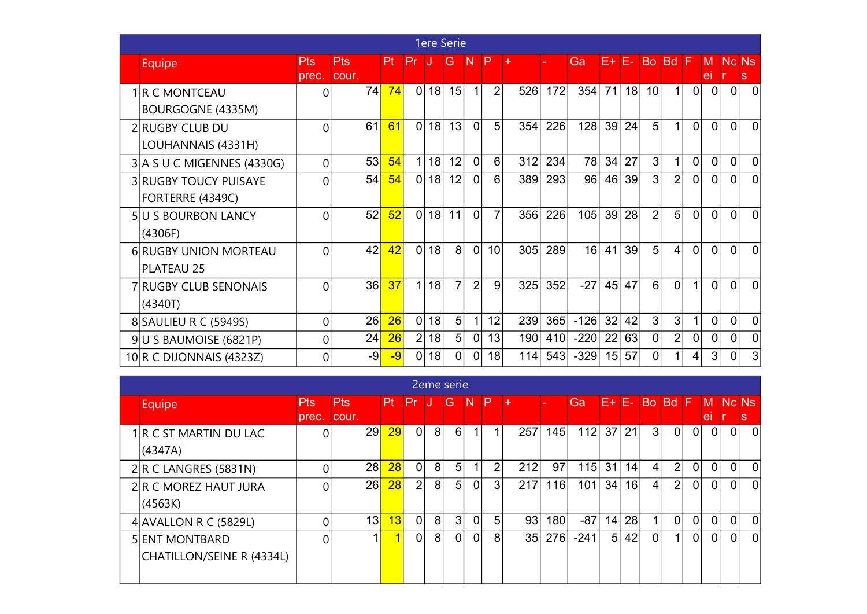|                                                   |              |              |      |                |    | <b>1ere Serie</b> |                      |                |     |     |        |                 |     |                |                |                |                |                |                |
|---------------------------------------------------|--------------|--------------|------|----------------|----|-------------------|----------------------|----------------|-----|-----|--------|-----------------|-----|----------------|----------------|----------------|----------------|----------------|----------------|
| <b>Equipe</b>                                     | Pts<br>prec. | Pts<br>cour. | Pt   | Pr             |    | G                 | -N                   | <b>P</b>       | ÷   |     | Ga     | F+              | IE- | <b>Bo</b>      | <b>Bd</b>      |                | м<br>ei        | Nc Ns<br>Ir.   | <sub>S</sub>   |
| 1 R C MONTCEAU<br>BOURGOGNE (4335M)               | 0            | 74           | 74   | $\mathbf{0}$   | 18 | 15                | $\blacktriangleleft$ | $\overline{2}$ | 526 | 172 | 354    | 71              | 18  | 10             | 1              | $\Omega$       | 0              | <sup>0</sup>   | <sup>0</sup>   |
| 2 RUGBY CLUB DU<br>LOUHANNAIS (4331H)             | 0            | 61           | 61   | $\mathbf{0}$   | 18 | 13                | $\overline{0}$       | 5              | 354 | 226 | 128    | 39              | 24  | 5              | 1              | $\Omega$       | $\Omega$       | $\Omega$       | $\Omega$       |
| 3 A S U C MIGENNES (4330G)                        | 0            | 53           | 54   | 1              | 18 | 12                | $\overline{0}$       | 6              | 312 | 234 | 78     | 34              | 27  | 3              | 1              | $\overline{0}$ | $\Omega$       | $\overline{0}$ | $\Omega$       |
| <b>3 RUGBY TOUCY PUISAYE</b><br>FORTERRE (4349C)  | 0            | 54           | 54   | $\overline{0}$ | 18 | 12                | 0                    | 6              | 389 | 293 | 96     | 46              | 39  | 3              | $\overline{2}$ | $\Omega$       | $\Omega$       | $\Omega$       | $\Omega$       |
| <b>5U S BOURBON LANCY</b><br>(4306F)              | 0            | 52           | 52   | $\overline{0}$ | 18 | 11                | $\Omega$             | $\overline{7}$ | 356 | 226 | 105    | 39 <sup>°</sup> | 28  | $\overline{2}$ | 5              | $\Omega$       | $\overline{0}$ | $\Omega$       | $\Omega$       |
| <b>6 RUGBY UNION MORTEAU</b><br><b>PLATEAU 25</b> | U            | 42           | 42   | $\Omega$       | 18 | 8                 | $\overline{0}$       | 10             | 305 | 289 | 16     | 41              | 39  | 5              | 4              | $\overline{0}$ | $\Omega$       | $\Omega$       | $\Omega$       |
| 7 RUGBY CLUB SENONAIS<br>(4340T)                  | $\Omega$     | 36           | 37   | 1              | 18 | $\overline{7}$    | $\overline{2}$       | 9              | 325 | 352 | $-27$  | 45              | 47  | 6              | $\Omega$       | 1              | $\Omega$       | $\Omega$       | $\Omega$       |
| 8 SAULIEU R C (5949S)                             | 0            | 26           | 26   | $\overline{0}$ | 18 | 5                 | 1 <sub>1</sub>       | 12             | 239 | 365 | $-126$ | 32              | 42  | 3              | 3              | 1              | $\overline{0}$ | $\Omega$       | $\Omega$       |
| 9 U S BAUMOISE (6821P)                            | 0            | 24           | 26   | $\overline{2}$ | 18 | 5                 | $\overline{0}$       | 13             | 190 | 410 | $-220$ | 22              | 63  | 0              | $\overline{2}$ | $\overline{0}$ | $\overline{0}$ | $\overline{0}$ | $\overline{0}$ |
| 10 R C DIJONNAIS (4323Z)                          | 0            | $-9$         | $-9$ | $\Omega$       | 18 | 0                 | $\overline{0}$       | 18             | 114 | 543 | $-329$ | 15              | 57  | 0              |                | 4              | 3              | 0              | 3              |

|                           |            |                 |     |                |                | 2eme serie        |          |     |     |     |        |                 |                 |                |                |                |          |              |          |
|---------------------------|------------|-----------------|-----|----------------|----------------|-------------------|----------|-----|-----|-----|--------|-----------------|-----------------|----------------|----------------|----------------|----------|--------------|----------|
| <b>Equipe</b>             | <b>Pts</b> | <b>Pts</b>      | Pt. | <b>APT</b>     | w.             | G                 | <b>N</b> | / P | l + |     | Ga     | E+              | E-              | <b>Bo</b>      | <b>Bd</b>      | IF.            | M        | Nc Ns        |          |
|                           | prec.      | cour.           |     |                |                |                   |          |     |     |     |        |                 |                 |                |                |                | e        |              | S        |
| 1 R C ST MARTIN DU LAC    | ∩          | 29              | 29  | 0              | 8              | $6 \overline{6}$  |          | 1   | 257 | 145 | 112    | 37 <sup>1</sup> | 21              | 3 <sub>l</sub> | $\overline{0}$ | $\overline{0}$ | 0        | $\mathbf{0}$ | 0        |
| (A347A)                   |            |                 |     |                |                |                   |          |     |     |     |        |                 |                 |                |                |                |          |              |          |
| $2 R$ C LANGRES (5831N)   |            | 28              | 28  | 0              | 8 <sup>1</sup> | 5 <sub>5</sub>    | 1        | 2   | 212 | 97  | 115    | 31              | 14 <sub>1</sub> | $\vert$        | $\overline{2}$ | $\overline{0}$ | 0        | $\Omega$     | ∩        |
| 2 R C MOREZ HAUT JURA     |            | 26              | 28  | $\overline{2}$ | 8              | 5 <sup>1</sup>    | 0        | 3   | 217 | 116 | 101    | 34              | 16              | $\vert$        | $\overline{2}$ | $\overline{0}$ | $\Omega$ | 0            | $\Omega$ |
| (4563K)                   |            |                 |     |                |                |                   |          |     |     |     |        |                 |                 |                |                |                |          |              |          |
| 4 AVALLON R C (5829L)     | 0          | 13 <sub>h</sub> | 13  | 0              | 8              | $\lvert 3 \rvert$ | 0        | 5   | 93  | 180 | $-87$  | 14              | 28              | $\mathbf 1$    | $\overline{0}$ | $\overline{0}$ | 0        | $\Omega$     | $\Omega$ |
| <b>5 ENT MONTBARD</b>     | ∩          |                 | 4   | $\overline{0}$ | 8              | $\overline{0}$    | 0        | 8   | 35  | 276 | $-241$ | 5 <sup>1</sup>  | 42              | $\mathbf{0}$   | 1              | $\overline{0}$ | 0        | $\Omega$     | $\Omega$ |
| CHATILLON/SEINE R (4334L) |            |                 |     |                |                |                   |          |     |     |     |        |                 |                 |                |                |                |          |              |          |
|                           |            |                 |     |                |                |                   |          |     |     |     |        |                 |                 |                |                |                |          |              |          |